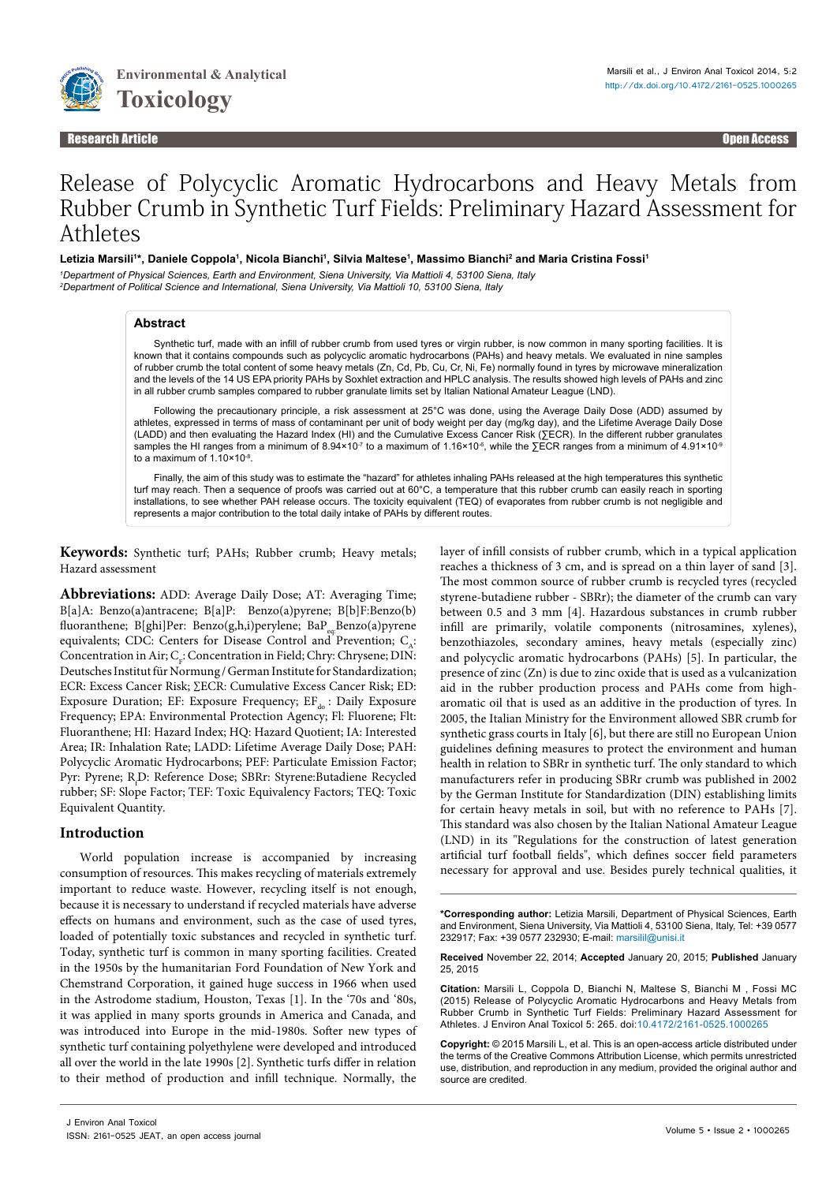

#### Research Article Open Access **Contract Contract Contract Contract Contract Contract Contract Contract Contract C**<br>Propen Access **Contract Contract Contract Contract Contract Contract Contract Contract Contract Contract Con** Research Article Open Access

# Release of Polycyclic Aromatic Hydrocarbons and Heavy Metals from Rubber Crumb in Synthetic Turf Fields: Preliminary Hazard Assessment for **Athletes**

Letizia Marsili'\*, Daniele Coppola<sup>1</sup>, Nicola Bianchi<sup>1</sup>, Silvia Maltese<sup>1</sup>, Massimo Bianchi<sup>2</sup> and Maria Cristina Fossi<sup>1</sup>

*1 Department of Physical Sciences, Earth and Environment, Siena University, Via Mattioli 4, 53100 Siena, Italy 2 Department of Political Science and International, Siena University, Via Mattioli 10, 53100 Siena, Italy*

## **Abstract**

Synthetic turf, made with an infill of rubber crumb from used tyres or virgin rubber, is now common in many sporting facilities. It is known that it contains compounds such as polycyclic aromatic hydrocarbons (PAHs) and heavy metals. We evaluated in nine samples of rubber crumb the total content of some heavy metals (Zn, Cd, Pb, Cu, Cr, Ni, Fe) normally found in tyres by microwave mineralization and the levels of the 14 US EPA priority PAHs by Soxhlet extraction and HPLC analysis. The results showed high levels of PAHs and zinc in all rubber crumb samples compared to rubber granulate limits set by Italian National Amateur League (LND).

Following the precautionary principle, a risk assessment at 25°C was done, using the Average Daily Dose (ADD) assumed by athletes, expressed in terms of mass of contaminant per unit of body weight per day (mg/kg day), and the Lifetime Average Daily Dose (LADD) and then evaluating the Hazard Index (HI) and the Cumulative Excess Cancer Risk (∑ECR). In the different rubber granulates samples the HI ranges from a minimum of 8.94×10<sup>-7</sup> to a maximum of 1.16×10<sup>-6</sup>, while the ∑ECR ranges from a minimum of 4.91×10<sup>-9</sup> to a maximum of 1.10×10-8.

Finally, the aim of this study was to estimate the "hazard" for athletes inhaling PAHs released at the high temperatures this synthetic turf may reach. Then a sequence of proofs was carried out at 60°C, a temperature that this rubber crumb can easily reach in sporting installations, to see whether PAH release occurs. The toxicity equivalent (TEQ) of evaporates from rubber crumb is not negligible and represents a major contribution to the total daily intake of PAHs by different routes.

**Keywords:** Synthetic turf; PAHs; Rubber crumb; Heavy metals; Hazard assessment

**Abbreviations:** ADD: Average Daily Dose; AT: Averaging Time; B[a]A: Benzo(a)antracene; B[a]P: Benzo(a)pyrene; B[b]F:Benzo(b) fluoranthene; B[ghi]Per: Benzo(g,h,i)perylene; BaP<sub>on</sub>Benzo(a)pyrene equivalents; CDC: Centers for Disease Control and Prevention;  $C_{\lambda}$ : Concentration in Air;  $C_{F}$ : Concentration in Field; Chry: Chrysene; DIN: Deutsches Institut für Normung / German Institute for Standardization; ECR: Excess Cancer Risk; ∑ECR: Cumulative Excess Cancer Risk; ED: Exposure Duration; EF: Exposure Frequency;  $EF_{do}$ : Daily Exposure Frequency; EPA: Environmental Protection Agency; Fl: Fluorene; Flt: Fluoranthene; HI: Hazard Index; HQ: Hazard Quotient; IA: Interested Area; IR: Inhalation Rate; LADD: Lifetime Average Daily Dose; PAH: Polycyclic Aromatic Hydrocarbons; PEF: Particulate Emission Factor; Pyr: Pyrene; R.D: Reference Dose; SBRr: Styrene:Butadiene Recycled rubber; SF: Slope Factor; TEF: Toxic Equivalency Factors; TEQ: Toxic Equivalent Quantity.

# **Introduction**

World population increase is accompanied by increasing consumption of resources. This makes recycling of materials extremely important to reduce waste. However, recycling itself is not enough, because it is necessary to understand if recycled materials have adverse effects on humans and environment, such as the case of used tyres, loaded of potentially toxic substances and recycled in synthetic turf. Today, synthetic turf is common in many sporting facilities. Created in the 1950s by the humanitarian Ford Foundation of New York and Chemstrand Corporation, it gained huge success in 1966 when used in the Astrodome stadium, Houston, Texas [1]. In the '70s and '80s, it was applied in many sports grounds in America and Canada, and was introduced into Europe in the mid-1980s. Softer new types of synthetic turf containing polyethylene were developed and introduced all over the world in the late 1990s [2]. Synthetic turfs differ in relation to their method of production and infill technique. Normally, the layer of infill consists of rubber crumb, which in a typical application reaches a thickness of 3 cm, and is spread on a thin layer of sand [3]. The most common source of rubber crumb is recycled tyres (recycled styrene-butadiene rubber - SBRr); the diameter of the crumb can vary between 0.5 and 3 mm [4]. Hazardous substances in crumb rubber infill are primarily, volatile components (nitrosamines, xylenes), benzothiazoles, secondary amines, heavy metals (especially zinc) and polycyclic aromatic hydrocarbons (PAHs) [5]. In particular, the presence of zinc (Zn) is due to zinc oxide that is used as a vulcanization aid in the rubber production process and PAHs come from higharomatic oil that is used as an additive in the production of tyres. In 2005, the Italian Ministry for the Environment allowed SBR crumb for synthetic grass courts in Italy [6], but there are still no European Union guidelines defining measures to protect the environment and human health in relation to SBRr in synthetic turf. The only standard to which manufacturers refer in producing SBRr crumb was published in 2002 by the German Institute for Standardization (DIN) establishing limits for certain heavy metals in soil, but with no reference to PAHs [7]. This standard was also chosen by the Italian National Amateur League (LND) in its "Regulations for the construction of latest generation artificial turf football fields", which defines soccer field parameters necessary for approval and use. Besides purely technical qualities, it

**Received** November 22, 2014; **Accepted** January 20, 2015; **Published** January 25, 2015

**Citation:** Marsili L, Coppola D, Bianchi N, Maltese S, Bianchi M , Fossi MC (2015) Release of Polycyclic Aromatic Hydrocarbons and Heavy Metals from Rubber Crumb in Synthetic Turf Fields: Preliminary Hazard Assessment for Athletes. J Environ Anal Toxicol 5: 265. doi[:10.4172/2161-0525.1000265](http://dx.doi.org/10.4172/2161-0525.1000265)

**Copyright:** © 2015 Marsili L, et al. This is an open-access article distributed under the terms of the Creative Commons Attribution License, which permits unrestricted use, distribution, and reproduction in any medium, provided the original author and source are credited.

**<sup>\*</sup>Corresponding author:** Letizia Marsili, Department of Physical Sciences, Earth and Environment, Siena University, Via Mattioli 4, 53100 Siena, Italy, Tel: +39 0577 232917; Fax: +39 0577 232930; E-mail: marsilil@unisi.it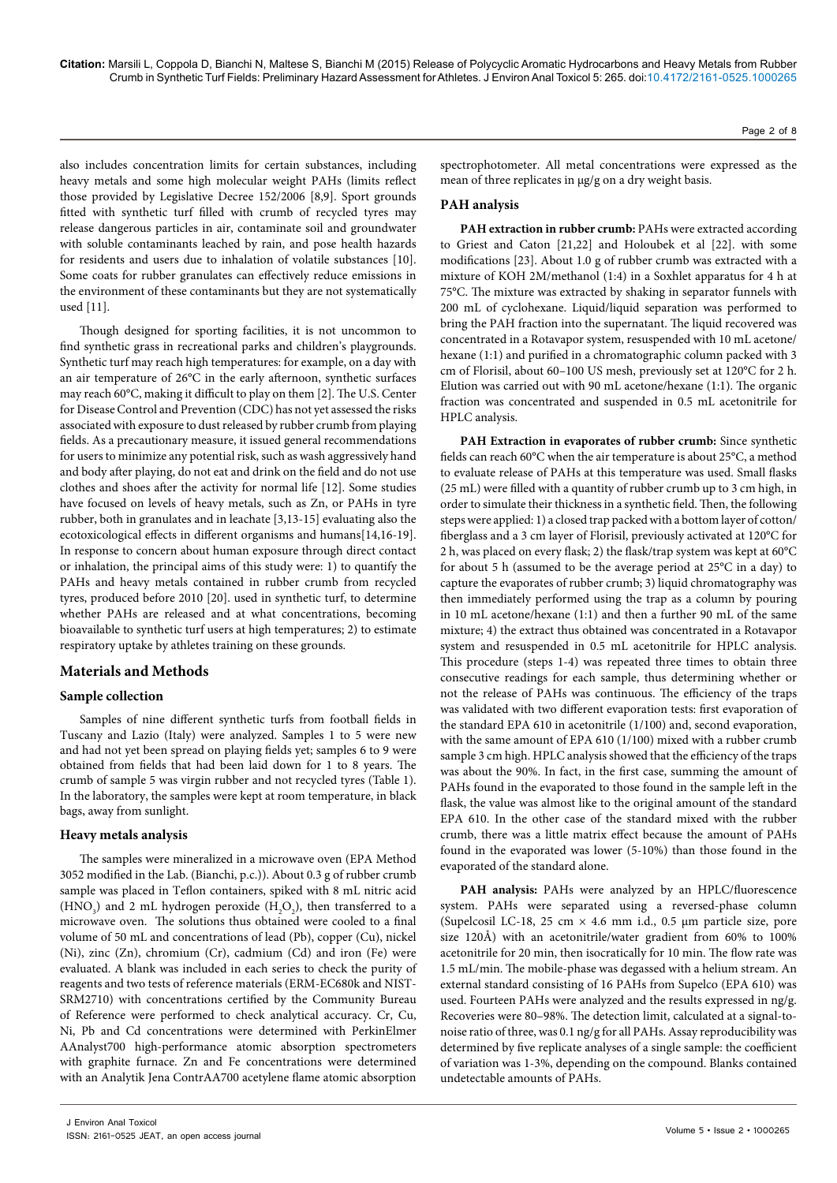also includes concentration limits for certain substances, including heavy metals and some high molecular weight PAHs (limits reflect those provided by Legislative Decree 152/2006 [8,9]. Sport grounds fitted with synthetic turf filled with crumb of recycled tyres may release dangerous particles in air, contaminate soil and groundwater with soluble contaminants leached by rain, and pose health hazards for residents and users due to inhalation of volatile substances [10]. Some coats for rubber granulates can effectively reduce emissions in the environment of these contaminants but they are not systematically used [11].

Though designed for sporting facilities, it is not uncommon to find synthetic grass in recreational parks and children's playgrounds. Synthetic turf may reach high temperatures: for example, on a day with an air temperature of 26°C in the early afternoon, synthetic surfaces may reach 60°C, making it difficult to play on them [2]. The U.S. Center for Disease Control and Prevention (CDC) has not yet assessed the risks associated with exposure to dust released by rubber crumb from playing fields. As a precautionary measure, it issued general recommendations for users to minimize any potential risk, such as wash aggressively hand and body after playing, do not eat and drink on the field and do not use clothes and shoes after the activity for normal life [12]. Some studies have focused on levels of heavy metals, such as Zn, or PAHs in tyre rubber, both in granulates and in leachate [3,13-15] evaluating also the ecotoxicological effects in different organisms and humans[14,16-19]. In response to concern about human exposure through direct contact or inhalation, the principal aims of this study were: 1) to quantify the PAHs and heavy metals contained in rubber crumb from recycled tyres, produced before 2010 [20]. used in synthetic turf, to determine whether PAHs are released and at what concentrations, becoming bioavailable to synthetic turf users at high temperatures; 2) to estimate respiratory uptake by athletes training on these grounds.

## **Materials and Methods**

## **Sample collection**

Samples of nine different synthetic turfs from football fields in Tuscany and Lazio (Italy) were analyzed. Samples 1 to 5 were new and had not yet been spread on playing fields yet; samples 6 to 9 were obtained from fields that had been laid down for 1 to 8 years. The crumb of sample 5 was virgin rubber and not recycled tyres (Table 1). In the laboratory, the samples were kept at room temperature, in black bags, away from sunlight.

#### **Heavy metals analysis**

The samples were mineralized in a microwave oven (EPA Method 3052 modified in the Lab. (Bianchi, p.c.)). About 0.3 g of rubber crumb sample was placed in Teflon containers, spiked with 8 mL nitric acid (HNO<sub>3</sub>) and 2 mL hydrogen peroxide (H<sub>2</sub>O<sub>2</sub>), then transferred to a microwave oven. The solutions thus obtained were cooled to a final volume of 50 mL and concentrations of lead (Pb), copper (Cu), nickel (Ni), zinc (Zn), chromium (Cr), cadmium (Cd) and iron (Fe) were evaluated. A blank was included in each series to check the purity of reagents and two tests of reference materials (ERM-EC680k and NIST-SRM2710) with concentrations certified by the Community Bureau of Reference were performed to check analytical accuracy. Cr, Cu, Ni, Pb and Cd concentrations were determined with PerkinElmer AAnalyst700 high-performance atomic absorption spectrometers with graphite furnace. Zn and Fe concentrations were determined with an Analytik Jena ContrAA700 acetylene flame atomic absorption

spectrophotometer. All metal concentrations were expressed as the mean of three replicates in μg/g on a dry weight basis.

## **PAH analysis**

**PAH extraction in rubber crumb:** PAHs were extracted according to [Griest and Caton](http://www.sciencedirect.com/science?_ob=ArticleURL&_udi=B6V74-435KDM9-6&_user=7597297&_coverDate=07%2F31%2F2001&_alid=1413158497&_rdoc=5&_fmt=high&_orig=search&_cdi=5832&_sort=r&_docanchor=&view=c&_ct=14&_acct=C000036918&_version=1&_urlVersion=0&_userid=7597297&md5=f83e679e3a3690505d37c237245ea322#bib10) [21,22] and [Holoubek et al](http://www.sciencedirect.com/science?_ob=ArticleURL&_udi=B6V74-435KDM9-6&_user=7597297&_coverDate=07%2F31%2F2001&_alid=1413158497&_rdoc=5&_fmt=high&_orig=search&_cdi=5832&_sort=r&_docanchor=&view=c&_ct=14&_acct=C000036918&_version=1&_urlVersion=0&_userid=7597297&md5=f83e679e3a3690505d37c237245ea322#bib14) [22]. with some modifications [23]. About 1.0 g of rubber crumb was extracted with a mixture of KOH 2M/methanol (1:4) in a Soxhlet apparatus for 4 h at 75°C. The mixture was extracted by shaking in separator funnels with 200 mL of cyclohexane. Liquid/liquid separation was performed to bring the PAH fraction into the supernatant. The liquid recovered was concentrated in a Rotavapor system, resuspended with 10 mL acetone/ hexane (1:1) and purified in a chromatographic column packed with 3 cm of Florisil, about 60–100 US mesh, previously set at 120°C for 2 h. Elution was carried out with 90 mL acetone/hexane (1:1). The organic fraction was concentrated and suspended in 0.5 mL acetonitrile for HPLC analysis.

PAH Extraction in evaporates of rubber crumb: Since synthetic fields can reach 60°C when the air temperature is about 25°C, a method to evaluate release of PAHs at this temperature was used. Small flasks (25 mL) were filled with a quantity of rubber crumb up to 3 cm high, in order to simulate their thickness in a synthetic field. Then, the following steps were applied: 1) a closed trap packed with a bottom layer of cotton/ fiberglass and a 3 cm layer of Florisil, previously activated at 120°C for 2 h, was placed on every flask; 2) the flask/trap system was kept at 60°C for about 5 h (assumed to be the average period at 25°C in a day) to capture the evaporates of rubber crumb; 3) liquid chromatography was then immediately performed using the trap as a column by pouring in 10 mL acetone/hexane (1:1) and then a further 90 mL of the same mixture; 4) the extract thus obtained was concentrated in a Rotavapor system and resuspended in 0.5 mL acetonitrile for HPLC analysis. This procedure (steps 1-4) was repeated three times to obtain three consecutive readings for each sample, thus determining whether or not the release of PAHs was continuous. The efficiency of the traps was validated with two different evaporation tests: first evaporation of the standard EPA 610 in acetonitrile (1/100) and, second evaporation, with the same amount of EPA 610 (1/100) mixed with a rubber crumb sample 3 cm high. HPLC analysis showed that the efficiency of the traps was about the 90%. In fact, in the first case, summing the amount of PAHs found in the evaporated to those found in the sample left in the flask, the value was almost like to the original amount of the standard EPA 610. In the other case of the standard mixed with the rubber crumb, there was a little matrix effect because the amount of PAHs found in the evaporated was lower (5-10%) than those found in the evaporated of the standard alone.

**PAH analysis:** PAHs were analyzed by an HPLC/fluorescence system. PAHs were separated using a reversed-phase column (Supelcosil LC-18, 25 cm  $\times$  4.6 mm i.d., 0.5 µm particle size, pore size 120Å) with an acetonitrile/water gradient from 60% to 100% acetonitrile for 20 min, then isocratically for 10 min. The flow rate was 1.5 mL/min. The mobile-phase was degassed with a helium stream. An external standard consisting of 16 PAHs from Supelco (EPA 610) was used. Fourteen PAHs were analyzed and the results expressed in ng/g. Recoveries were 80–98%. The detection limit, calculated at a signal-tonoise ratio of three, was 0.1 ng/g for all PAHs. Assay reproducibility was determined by five replicate analyses of a single sample: the coefficient of variation was 1-3%, depending on the compound. Blanks contained undetectable amounts of PAHs.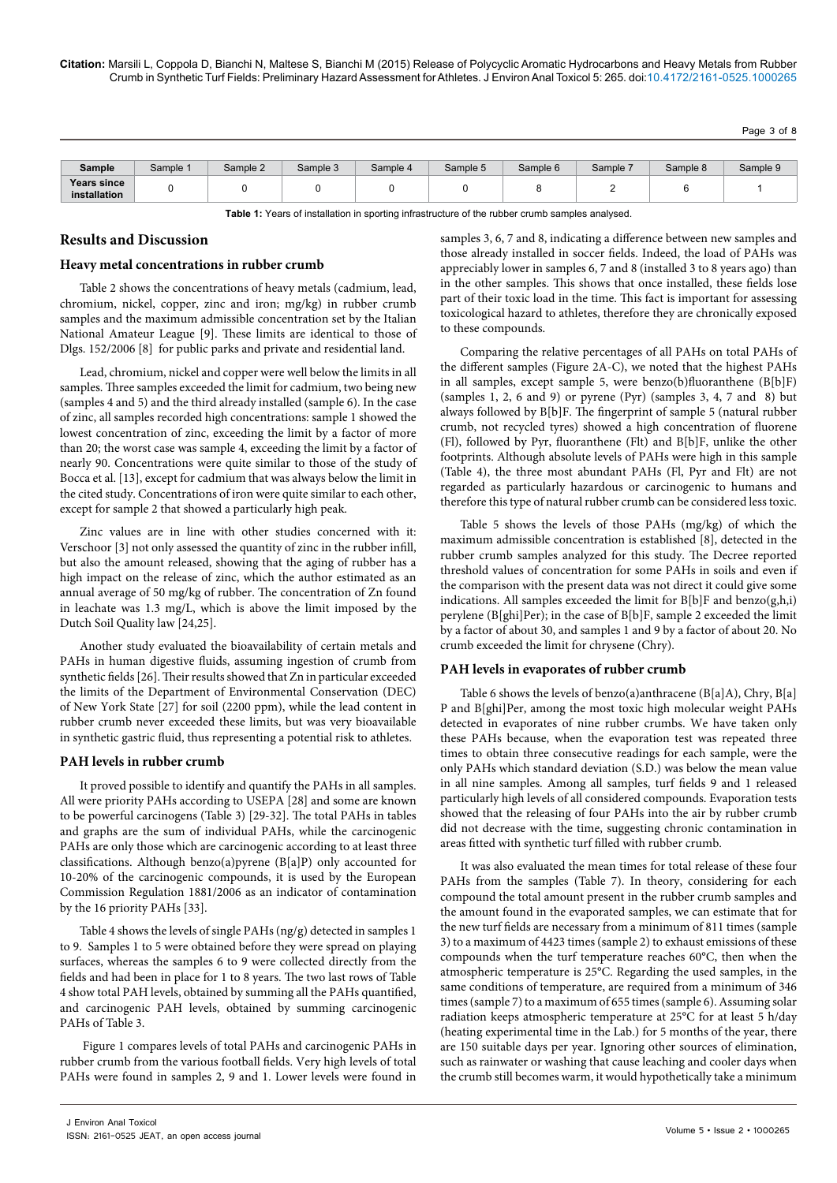Page 3 of 8

| Sample                      | Sample <sup>.</sup> | Sample 2 | Sample 3 | Sample 4 | Sample 5 | Sample 6 | Sample 7 | Sample 8 | Sample 9 |
|-----------------------------|---------------------|----------|----------|----------|----------|----------|----------|----------|----------|
| Years since<br>installation |                     |          |          |          |          |          |          |          |          |

**Table 1:** Years of installation in sporting infrastructure of the rubber crumb samples analysed.

## **Results and Discussion**

#### **Heavy metal concentrations in rubber crumb**

Table 2 shows the concentrations of heavy metals (cadmium, lead, chromium, nickel, copper, zinc and iron; mg/kg) in rubber crumb samples and the maximum admissible concentration set by the Italian National Amateur League [9]. These limits are identical to those of Dlgs. 152/2006 [8] for public parks and private and residential land.

Lead, chromium, nickel and copper were well below the limits in all samples. Three samples exceeded the limit for cadmium, two being new (samples 4 and 5) and the third already installed (sample 6). In the case of zinc, all samples recorded high concentrations: sample 1 showed the lowest concentration of zinc, exceeding the limit by a factor of more than 20; the worst case was sample 4, exceeding the limit by a factor of nearly 90. Concentrations were quite similar to those of the study of Bocca et al. [13], except for cadmium that was always below the limit in the cited study. Concentrations of iron were quite similar to each other, except for sample 2 that showed a particularly high peak.

Zinc values are in line with other studies concerned with it: Verschoor [3] not only assessed the quantity of zinc in the rubber infill, but also the amount released, showing that the aging of rubber has a high impact on the release of zinc, which the author estimated as an annual average of 50 mg/kg of rubber. The concentration of Zn found in leachate was 1.3 mg/L, which is above the limit imposed by the Dutch Soil Quality law [24,25].

Another study evaluated the bioavailability of certain metals and PAHs in human digestive fluids, assuming ingestion of crumb from synthetic fields [26]. Their results showed that Zn in particular exceeded the limits of the Department of Environmental Conservation (DEC) of New York State [27] for soil (2200 ppm), while the lead content in rubber crumb never exceeded these limits, but was very bioavailable in synthetic gastric fluid, thus representing a potential risk to athletes.

#### **PAH levels in rubber crumb**

It proved possible to identify and quantify the PAHs in all samples. All were priority PAHs according to USEPA [28] and some are known to be powerful carcinogens (Table 3) [29-32]. The total PAHs in tables and graphs are the sum of individual PAHs, while the carcinogenic PAHs are only those which are carcinogenic according to at least three classifications. Although benzo(a)pyrene (B[a]P) only accounted for 10-20% of the carcinogenic compounds, it is used by the European Commission Regulation 1881/2006 as an indicator of contamination by the 16 priority PAHs [33].

Table 4 shows the levels of single PAHs (ng/g) detected in samples 1 to 9. Samples 1 to 5 were obtained before they were spread on playing surfaces, whereas the samples 6 to 9 were collected directly from the fields and had been in place for 1 to 8 years. The two last rows of Table 4 show total PAH levels, obtained by summing all the PAHs quantified, and carcinogenic PAH levels, obtained by summing carcinogenic PAHs of Table 3.

 Figure 1 compares levels of total PAHs and carcinogenic PAHs in rubber crumb from the various football fields. Very high levels of total PAHs were found in samples 2, 9 and 1. Lower levels were found in

samples 3, 6, 7 and 8, indicating a difference between new samples and those already installed in soccer fields. Indeed, the load of PAHs was appreciably lower in samples 6, 7 and 8 (installed 3 to 8 years ago) than in the other samples. This shows that once installed, these fields lose part of their toxic load in the time. This fact is important for assessing toxicological hazard to athletes, therefore they are chronically exposed to these compounds.

Comparing the relative percentages of all PAHs on total PAHs of the different samples (Figure 2A-C), we noted that the highest PAHs in all samples, except sample 5, were benzo(b)fluoranthene (B[b]F) (samples 1, 2, 6 and 9) or pyrene (Pyr) (samples 3, 4, 7 and 8) but always followed by B[b]F. The fingerprint of sample 5 (natural rubber crumb, not recycled tyres) showed a high concentration of fluorene (Fl), followed by Pyr, fluoranthene (Flt) and B[b]F, unlike the other footprints. Although absolute levels of PAHs were high in this sample (Table 4), the three most abundant PAHs (Fl, Pyr and Flt) are not regarded as particularly hazardous or carcinogenic to humans and therefore this type of natural rubber crumb can be considered less toxic.

Table 5 shows the levels of those PAHs (mg/kg) of which the maximum admissible concentration is established [8], detected in the rubber crumb samples analyzed for this study. The Decree reported threshold values of concentration for some PAHs in soils and even if the comparison with the present data was not direct it could give some indications. All samples exceeded the limit for B[b]F and benzo(g,h,i) perylene (B[ghi]Per); in the case of B[b]F, sample 2 exceeded the limit by a factor of about 30, and samples 1 and 9 by a factor of about 20. No crumb exceeded the limit for chrysene (Chry).

## **PAH levels in evaporates of rubber crumb**

Table 6 shows the levels of benzo(a)anthracene (B[a]A), Chry, B[a] P and B[ghi]Per, among the most toxic high molecular weight PAHs detected in evaporates of nine rubber crumbs. We have taken only these PAHs because, when the evaporation test was repeated three times to obtain three consecutive readings for each sample, were the only PAHs which standard deviation (S.D.) was below the mean value in all nine samples. Among all samples, turf fields 9 and 1 released particularly high levels of all considered compounds. Evaporation tests showed that the releasing of four PAHs into the air by rubber crumb did not decrease with the time, suggesting chronic contamination in areas fitted with synthetic turf filled with rubber crumb.

It was also evaluated the mean times for total release of these four PAHs from the samples (Table 7). In theory, considering for each compound the total amount present in the rubber crumb samples and the amount found in the evaporated samples, we can estimate that for the new turf fields are necessary from a minimum of 811 times (sample 3) to a maximum of 4423 times (sample 2) to exhaust emissions of these compounds when the turf temperature reaches 60°C, then when the atmospheric temperature is 25°C. Regarding the used samples, in the same conditions of temperature, are required from a minimum of 346 times (sample 7) to a maximum of 655 times (sample 6). Assuming solar radiation keeps atmospheric temperature at 25°C for at least 5 h/day (heating experimental time in the Lab.) for 5 months of the year, there are 150 suitable days per year. Ignoring other sources of elimination, such as rainwater or washing that cause leaching and cooler days when the crumb still becomes warm, it would hypothetically take a minimum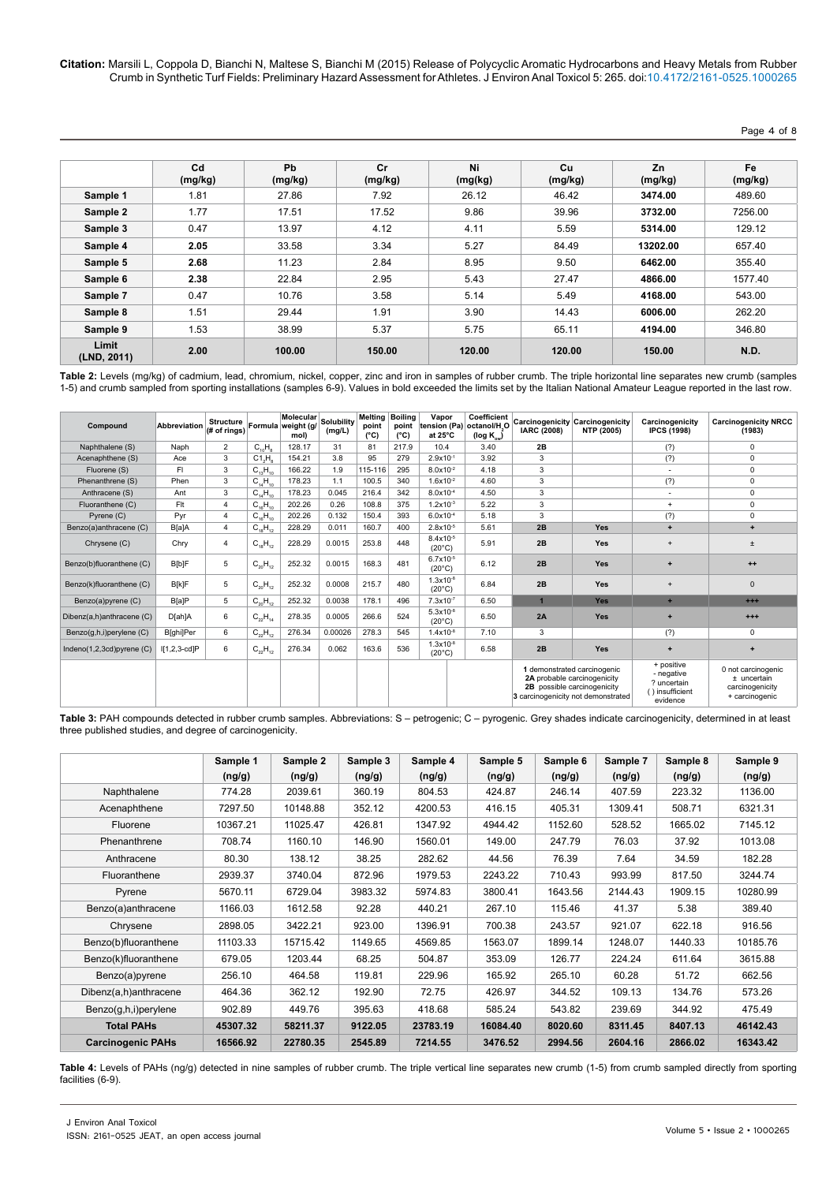Page 4 of 8

|                      | Cd<br>(mg/kg) | Pb<br>(mg/kg) | Cr<br>(mg/kg) | Ni<br>(mg/kg) | Cu<br>(mg/kg) | Zn<br>(mg/kg) | Fe<br>(mg/kg) |
|----------------------|---------------|---------------|---------------|---------------|---------------|---------------|---------------|
| Sample 1             | 1.81          | 27.86         | 7.92          | 26.12         | 46.42         | 3474.00       | 489.60        |
| Sample 2             | 1.77          | 17.51         | 17.52         | 9.86          | 39.96         | 3732.00       | 7256.00       |
| Sample 3             | 0.47          | 13.97         | 4.12          | 4.11          | 5.59          | 5314.00       | 129.12        |
| Sample 4             | 2.05          | 33.58         | 3.34          | 5.27          | 84.49         | 13202.00      | 657.40        |
| Sample 5             | 2.68          | 11.23         | 2.84          | 8.95          | 9.50          | 6462.00       | 355.40        |
| Sample 6             | 2.38          | 22.84         | 2.95          | 5.43          | 27.47         | 4866.00       | 1577.40       |
| Sample 7             | 0.47          | 10.76         | 3.58          | 5.14          | 5.49          | 4168.00       | 543.00        |
| Sample 8             | 1.51          | 29.44         | 1.91          | 3.90          | 14.43         | 6006.00       | 262.20        |
| Sample 9             | 1.53          | 38.99         | 5.37          | 5.75          | 65.11         | 4194.00       | 346.80        |
| Limit<br>(LND, 2011) | 2.00          | 100.00        | 150.00        | 120.00        | 120.00        | 150.00        | N.D.          |

**Table 2:** Levels (mg/kg) of cadmium, lead, chromium, nickel, copper, zinc and iron in samples of rubber crumb. The triple horizontal line separates new crumb (samples 1-5) and crumb sampled from sporting installations (samples 6-9). Values in bold exceeded the limits set by the Italian National Amateur League reported in the last row.

| Compound                        | Abbreviation   | <b>Structure</b><br>(# of rings) |                    | Molecular<br>Formula weight (g/<br>mol) | <b>Solubility</b><br>(mg/L) | <b>Melting</b><br>point<br>$(^{\circ}C)$ | <b>Boiling</b><br>point<br>$(^{\circ}C)$ | Vapor<br>at $25^{\circ}$ C       | Coefficient<br>tension (Pa) octanol/H.O<br>(log $K_{\text{ow}}$ ) | <b>IARC (2008)</b>                                                                                                              | <b>Carcinogenicity Carcinogenicity</b><br><b>NTP (2005)</b> | Carcinogenicity<br><b>IPCS (1998)</b>                                  | <b>Carcinogenicity NRCC</b><br>(1983)                                  |
|---------------------------------|----------------|----------------------------------|--------------------|-----------------------------------------|-----------------------------|------------------------------------------|------------------------------------------|----------------------------------|-------------------------------------------------------------------|---------------------------------------------------------------------------------------------------------------------------------|-------------------------------------------------------------|------------------------------------------------------------------------|------------------------------------------------------------------------|
| Naphthalene (S)                 | Naph           | $\overline{2}$                   | $C_{10}H_{8}$      | 128.17                                  | 31                          | 81                                       | 217.9                                    | 10.4                             | 3.40                                                              | 2B                                                                                                                              |                                                             | (?)                                                                    | $\mathsf 0$                                                            |
| Acenaphthene (S)                | Ace            | 3                                | C1, H <sub>s</sub> | 154.21                                  | 3.8                         | 95                                       | 279                                      | $2.9x10^{-1}$                    | 3.92                                                              | 3                                                                                                                               |                                                             | (?)                                                                    | $\mathbf 0$                                                            |
| Fluorene (S)                    | FI             | 3                                | $C_{13}H_{10}$     | 166.22                                  | 1.9                         | 115-116                                  | 295                                      | $8.0x10^{-2}$                    | 4.18                                                              | 3                                                                                                                               |                                                             |                                                                        | $\mathsf 0$                                                            |
| Phenanthrene (S)                | Phen           | 3                                | $C_{14}H_{10}$     | 178.23                                  | 1.1                         | 100.5                                    | 340                                      | $1.6x10^{-2}$                    | 4.60                                                              | 3                                                                                                                               |                                                             | (?)                                                                    | $\mathsf 0$                                                            |
| Anthracene (S)                  | Ant            | 3                                | $C_{14}H_{10}$     | 178.23                                  | 0.045                       | 216.4                                    | 342                                      | $8.0x10^{-4}$                    | 4.50                                                              | 3                                                                                                                               |                                                             | $\overline{\phantom{a}}$                                               | $\mathsf 0$                                                            |
| Fluoranthene (C)                | Fit            | $\overline{a}$                   | $C_{16}H_{10}$     | 202.26                                  | 0.26                        | 108.8                                    | 375                                      | $1.2x10^{-3}$                    | 5.22                                                              | 3                                                                                                                               |                                                             | $+$                                                                    | $\mathbf 0$                                                            |
| Pyrene (C)                      | Pyr            | 4                                | $C_{16}H_{10}$     | 202.26                                  | 0.132                       | 150.4                                    | 393                                      | $6.0x10^{-4}$                    | 5.18                                                              | 3                                                                                                                               |                                                             | (?)                                                                    | 0                                                                      |
| Benzo(a)anthracene (C)          | B[a]A          | $\overline{4}$                   | $C_{18}H_{12}$     | 228.29                                  | 0.011                       | 160.7                                    | 400                                      | $2.8x10^{-5}$                    | 5.61                                                              | 2B                                                                                                                              | Yes                                                         | ٠                                                                      | $\ddot{}$                                                              |
| Chrysene (C)                    | Chry           | $\overline{4}$                   | $C_{18}H_{12}$     | 228.29                                  | 0.0015                      | 253.8                                    | 448                                      | $8.4x10^{-5}$<br>$(20^{\circ}C)$ | 5.91                                                              | 2B                                                                                                                              | Yes                                                         | $\ddot{}$                                                              | $\pm$                                                                  |
| Benzo(b)fluoranthene (C)        | B[b]F          | 5                                | $C_{20}H_{12}$     | 252.32                                  | 0.0015                      | 168.3                                    | 481                                      | $6.7x10^{-5}$<br>$(20^{\circ}C)$ | 6.12                                                              | 2B                                                                                                                              | Yes                                                         |                                                                        | $++$                                                                   |
| Benzo(k)fluoranthene (C)        | B[k]F          | 5                                | $C_{20}H_{12}$     | 252.32                                  | 0.0008                      | 215.7                                    | 480                                      | $1.3x10^{-8}$<br>$(20^{\circ}C)$ | 6.84                                                              | 2B                                                                                                                              | Yes                                                         | $\div$                                                                 | $\mathbf{0}$                                                           |
| Benzo(a)pyrene (C)              | <b>B[a]P</b>   | 5                                | $C_{20}H_{12}$     | 252.32                                  | 0.0038                      | 178.1                                    | 496                                      | $7.3x10^{-7}$                    | 6.50                                                              |                                                                                                                                 | Yes                                                         | ٠                                                                      | $^{++}$                                                                |
| Dibenz(a,h)anthracene (C)       | D[ah]A         | 6                                | $C_{22}H_{14}$     | 278.35                                  | 0.0005                      | 266.6                                    | 524                                      | $5.3x10^{-8}$<br>$(20^{\circ}C)$ | 6.50                                                              | 2A                                                                                                                              | Yes                                                         | $\ddot{\phantom{1}}$                                                   | $^{++}$                                                                |
| Benzo(g,h,i)perylene (C)        | B[ghi]Per      | 6                                | $C_{22}H_{12}$     | 276.34                                  | 0.00026                     | 278.3                                    | 545                                      | $1.4x10^{-8}$                    | 7.10                                                              | 3                                                                                                                               |                                                             | (?)                                                                    | $\mathbf 0$                                                            |
| Indeno $(1,2,3cd)$ pyrene $(C)$ | $[I1,2,3-cd]P$ | 6                                | $C_{22}H_{12}$     | 276.34                                  | 0.062                       | 163.6                                    | 536                                      | $1.3x10^{-8}$<br>$(20^{\circ}C)$ | 6.58                                                              | 2B                                                                                                                              | Yes                                                         | $\ddot{}$                                                              | $\ddot{}$                                                              |
|                                 |                |                                  |                    |                                         |                             |                                          |                                          |                                  |                                                                   | 1 demonstrated carcinogenic<br>2A probable carcinogenicity<br>2B possible carcinogenicity<br>3 carcinogenicity not demonstrated |                                                             | + positive<br>- negative<br>? uncertain<br>() insufficient<br>evidence | 0 not carcinogenic<br>± uncertain<br>carcinogenicity<br>+ carcinogenic |

Table 3: PAH compounds detected in rubber crumb samples. Abbreviations: S – petrogenic; C – pyrogenic. Grey shades indicate carcinogenicity, determined in at least three published studies, and degree of carcinogenicity.

|                          | Sample 1 | Sample 2 | Sample 3 | Sample 4 | Sample 5 | Sample 6 | Sample 7 | Sample 8 | Sample 9 |
|--------------------------|----------|----------|----------|----------|----------|----------|----------|----------|----------|
|                          | (ng/g)   | (ng/g)   | (ng/g)   | (ng/g)   | (ng/g)   | (ng/g)   | (ng/g)   | (ng/g)   | (ng/g)   |
| Naphthalene              | 774.28   | 2039.61  | 360.19   | 804.53   | 424.87   | 246.14   | 407.59   | 223.32   | 1136.00  |
| Acenaphthene             | 7297.50  | 10148.88 | 352.12   | 4200.53  | 416.15   | 405.31   | 1309.41  | 508.71   | 6321.31  |
| Fluorene                 | 10367.21 | 11025.47 | 426.81   | 1347.92  | 4944.42  | 1152.60  | 528.52   | 1665.02  | 7145.12  |
| Phenanthrene             | 708.74   | 1160.10  | 146.90   | 1560.01  | 149.00   | 247.79   | 76.03    | 37.92    | 1013.08  |
| Anthracene               | 80.30    | 138.12   | 38.25    | 282.62   | 44.56    | 76.39    | 7.64     | 34.59    | 182.28   |
| Fluoranthene             | 2939.37  | 3740.04  | 872.96   | 1979.53  | 2243.22  | 710.43   | 993.99   | 817.50   | 3244.74  |
| Pyrene                   | 5670.11  | 6729.04  | 3983.32  | 5974.83  | 3800.41  | 1643.56  | 2144.43  | 1909.15  | 10280.99 |
| Benzo(a)anthracene       | 1166.03  | 1612.58  | 92.28    | 440.21   | 267.10   | 115.46   | 41.37    | 5.38     | 389.40   |
| Chrysene                 | 2898.05  | 3422.21  | 923.00   | 1396.91  | 700.38   | 243.57   | 921.07   | 622.18   | 916.56   |
| Benzo(b)fluoranthene     | 11103.33 | 15715.42 | 1149.65  | 4569.85  | 1563.07  | 1899.14  | 1248.07  | 1440.33  | 10185.76 |
| Benzo(k)fluoranthene     | 679.05   | 1203.44  | 68.25    | 504.87   | 353.09   | 126.77   | 224.24   | 611.64   | 3615.88  |
| Benzo(a)pyrene           | 256.10   | 464.58   | 119.81   | 229.96   | 165.92   | 265.10   | 60.28    | 51.72    | 662.56   |
| Dibenz(a,h)anthracene    | 464.36   | 362.12   | 192.90   | 72.75    | 426.97   | 344.52   | 109.13   | 134.76   | 573.26   |
| Benzo(g,h,i)perylene     | 902.89   | 449.76   | 395.63   | 418.68   | 585.24   | 543.82   | 239.69   | 344.92   | 475.49   |
| <b>Total PAHs</b>        | 45307.32 | 58211.37 | 9122.05  | 23783.19 | 16084.40 | 8020.60  | 8311.45  | 8407.13  | 46142.43 |
| <b>Carcinogenic PAHs</b> | 16566.92 | 22780.35 | 2545.89  | 7214.55  | 3476.52  | 2994.56  | 2604.16  | 2866.02  | 16343.42 |

**Table 4:** Levels of PAHs (ng/g) detected in nine samples of rubber crumb. The triple vertical line separates new crumb (1-5) from crumb sampled directly from sporting facilities (6-9).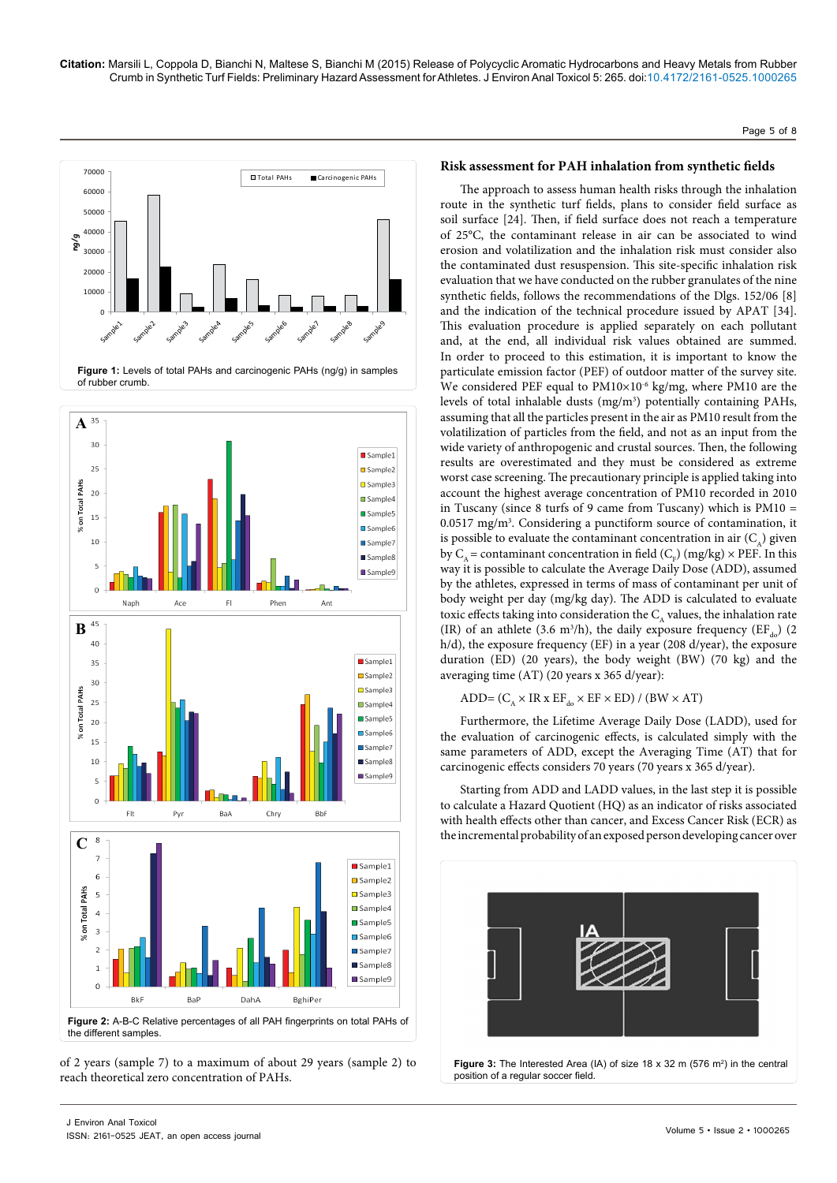



of 2 years (sample 7) to a maximum of about 29 years (sample 2) to reach theoretical zero concentration of PAHs.

## **Risk assessment for PAH inhalation from synthetic fields**

The approach to assess human health risks through the inhalation route in the synthetic turf fields, plans to consider field surface as soil surface [24]. Then, if field surface does not reach a temperature of 25°C, the contaminant release in air can be associated to wind erosion and volatilization and the inhalation risk must consider also the contaminated dust resuspension. This site-specific inhalation risk evaluation that we have conducted on the rubber granulates of the nine synthetic fields, follows the recommendations of the Dlgs. 152/06 [8] and the indication of the technical procedure issued by APAT [34]. This evaluation procedure is applied separately on each pollutant and, at the end, all individual risk values obtained are summed. In order to proceed to this estimation, it is important to know the particulate emission factor (PEF) of outdoor matter of the survey site. We considered PEF equal to PM10×10<sup>-6</sup> kg/mg, where PM10 are the levels of total inhalable dusts (mg/m<sup>3</sup>) potentially containing PAHs, assuming that all the particles present in the air as PM10 result from the volatilization of particles from the field, and not as an input from the wide variety of anthropogenic and crustal sources. Then, the following results are overestimated and they must be considered as extreme worst case screening. The precautionary principle is applied taking into account the highest average concentration of PM10 recorded in 2010 in Tuscany (since 8 turfs of 9 came from Tuscany) which is PM10 =  $0.0517$  mg/m<sup>3</sup>. Considering a punctiform source of contamination, it is possible to evaluate the contaminant concentration in air  $(C_{\lambda})$  given by  $C_A$  = contaminant concentration in field ( $C_F$ ) (mg/kg)  $\times$  PEF. In this way it is possible to calculate the Average Daily Dose (ADD), assumed by the athletes, expressed in terms of mass of contaminant per unit of body weight per day (mg/kg day). The ADD is calculated to evaluate toxic effects taking into consideration the  $C_{A}$  values, the inhalation rate (IR) of an athlete (3.6 m<sup>3</sup>/h), the daily exposure frequency ( $EF_{d0}$ ) (2) h/d), the exposure frequency (EF) in a year (208 d/year), the exposure duration (ED) (20 years), the body weight (BW) (70 kg) and the averaging time (AT) (20 years x 365 d/year):

ADD=  $(C_A \times IR \times EF_{do} \times EF \times ED) / (BW \times AT)$ 

Furthermore, the Lifetime Average Daily Dose (LADD), used for the evaluation of carcinogenic effects, is calculated simply with the same parameters of ADD, except the Averaging Time (AT) that for carcinogenic effects considers 70 years (70 years x 365 d/year).

Starting from ADD and LADD values, in the last step it is possible to calculate a Hazard Quotient (HQ) as an indicator of risks associated with health effects other than cancer, and Excess Cancer Risk (ECR) as the incremental probability of an exposed person developing cancer over



**Figure 3:** The Interested Area (IA) of size 18 x 32 m (576  $m^2$ ) in the central position of a regular soccer field.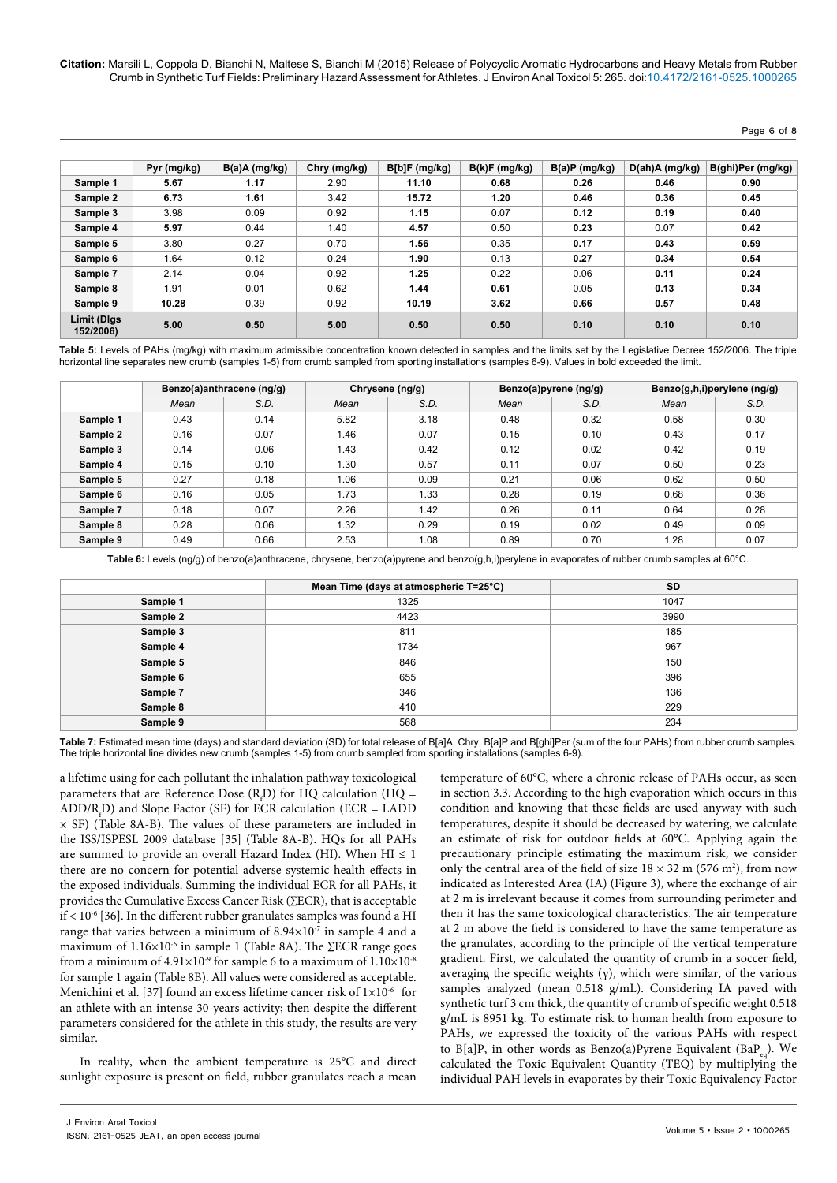#### Page 6 of 8

|                          | Pyr (mg/kg) | $B(a)A$ (mg/kg) | Chry (mg/kg) | B[b]F(mg/kg) | B(k)F(mg/kg) | B(a)P(mg/kg) | D(ah)A (mg/kg) | B(ghi)Per (mg/kg) |
|--------------------------|-------------|-----------------|--------------|--------------|--------------|--------------|----------------|-------------------|
| Sample 1                 | 5.67        | 1.17            | 2.90         | 11.10        | 0.68         | 0.26         | 0.46           | 0.90              |
| Sample 2                 | 6.73        | 1.61            | 3.42         | 15.72        | 1.20         | 0.46         | 0.36           | 0.45              |
| Sample 3                 | 3.98        | 0.09            | 0.92         | 1.15         | 0.07         | 0.12         | 0.19           | 0.40              |
| Sample 4                 | 5.97        | 0.44            | 1.40         | 4.57         | 0.50         | 0.23         | 0.07           | 0.42              |
| Sample 5                 | 3.80        | 0.27            | 0.70         | 1.56         | 0.35         | 0.17         | 0.43           | 0.59              |
| Sample 6                 | 1.64        | 0.12            | 0.24         | 1.90         | 0.13         | 0.27         | 0.34           | 0.54              |
| Sample 7                 | 2.14        | 0.04            | 0.92         | 1.25         | 0.22         | 0.06         | 0.11           | 0.24              |
| Sample 8                 | 1.91        | 0.01            | 0.62         | 1.44         | 0.61         | 0.05         | 0.13           | 0.34              |
| Sample 9                 | 10.28       | 0.39            | 0.92         | 10.19        | 3.62         | 0.66         | 0.57           | 0.48              |
| Limit (Digs<br>152/2006) | 5.00        | 0.50            | 5.00         | 0.50         | 0.50         | 0.10         | 0.10           | 0.10              |

**Table 5:** Levels of PAHs (mg/kg) with maximum admissible concentration known detected in samples and the limits set by the Legislative Decree 152/2006. The triple horizontal line separates new crumb (samples 1-5) from crumb sampled from sporting installations (samples 6-9). Values in bold exceeded the limit.

|          | Benzo(a)anthracene (ng/g) |      |      | Chrysene (ng/g) |      | Benzo(a)pyrene (ng/g) |      | Benzo(g,h,i)perylene (ng/g) |
|----------|---------------------------|------|------|-----------------|------|-----------------------|------|-----------------------------|
|          | Mean                      | S.D. | Mean | S.D.            | Mean | S.D.                  | Mean | S.D.                        |
| Sample 1 | 0.43                      | 0.14 | 5.82 | 3.18            | 0.48 | 0.32                  | 0.58 | 0.30                        |
| Sample 2 | 0.16                      | 0.07 | 1.46 | 0.07            | 0.15 | 0.10                  | 0.43 | 0.17                        |
| Sample 3 | 0.14                      | 0.06 | 1.43 | 0.42            | 0.12 | 0.02                  | 0.42 | 0.19                        |
| Sample 4 | 0.15                      | 0.10 | 1.30 | 0.57            | 0.11 | 0.07                  | 0.50 | 0.23                        |
| Sample 5 | 0.27                      | 0.18 | 1.06 | 0.09            | 0.21 | 0.06                  | 0.62 | 0.50                        |
| Sample 6 | 0.16                      | 0.05 | 1.73 | 1.33            | 0.28 | 0.19                  | 0.68 | 0.36                        |
| Sample 7 | 0.18                      | 0.07 | 2.26 | 1.42            | 0.26 | 0.11                  | 0.64 | 0.28                        |
| Sample 8 | 0.28                      | 0.06 | 1.32 | 0.29            | 0.19 | 0.02                  | 0.49 | 0.09                        |
| Sample 9 | 0.49                      | 0.66 | 2.53 | 1.08            | 0.89 | 0.70                  | 1.28 | 0.07                        |

Table 6: Levels (ng/g) of benzo(a)anthracene, chrysene, benzo(a)pyrene and benzo(g,h,i)perylene in evaporates of rubber crumb samples at 60°C.

|          | Mean Time (days at atmospheric T=25°C) | SD   |
|----------|----------------------------------------|------|
| Sample 1 | 1325                                   | 1047 |
| Sample 2 | 4423                                   | 3990 |
| Sample 3 | 811                                    | 185  |
| Sample 4 | 1734                                   | 967  |
| Sample 5 | 846                                    | 150  |
| Sample 6 | 655                                    | 396  |
| Sample 7 | 346                                    | 136  |
| Sample 8 | 410                                    | 229  |
| Sample 9 | 568                                    | 234  |

**Table 7:** Estimated mean time (days) and standard deviation (SD) for total release of B[a]A, Chry, B[a]P and B[ghi]Per (sum of the four PAHs) from rubber crumb samples. The triple horizontal line divides new crumb (samples 1-5) from crumb sampled from sporting installations (samples 6-9).

a lifetime using for each pollutant the inhalation pathway toxicological parameters that are Reference Dose  $(R_f D)$  for HQ calculation (HQ =  $ADD/R<sub>f</sub>D)$  and Slope Factor (SF) for ECR calculation (ECR = LADD  $\times$  SF) (Table 8A-B). The values of these parameters are included in the ISS/ISPESL 2009 database [35] (Table 8A-B). HQs for all PAHs are summed to provide an overall Hazard Index (HI). When  $HI \leq 1$ there are no concern for potential adverse systemic health effects in the exposed individuals. Summing the individual ECR for all PAHs, it provides the Cumulative Excess Cancer Risk (∑ECR), that is acceptable  $if < 10^{-6}$  [36]. In the different rubber granulates samples was found a HI range that varies between a minimum of  $8.94 \times 10^{-7}$  in sample 4 and a maximum of  $1.16\times10^{-6}$  in sample 1 (Table 8A). The ∑ECR range goes from a minimum of  $4.91\times10^{-9}$  for sample 6 to a maximum of  $1.10\times10^{-8}$ for sample 1 again (Table 8B). All values were considered as acceptable. Menichini et al. [37] found an excess lifetime cancer risk of  $1\times10^{-6}$  for an athlete with an intense 30-years activity; then despite the different parameters considered for the athlete in this study, the results are very similar.

In reality, when the ambient temperature is 25°C and direct sunlight exposure is present on field, rubber granulates reach a mean temperature of 60°C, where a chronic release of PAHs occur, as seen in section 3.3. According to the high evaporation which occurs in this condition and knowing that these fields are used anyway with such temperatures, despite it should be decreased by watering, we calculate an estimate of risk for outdoor fields at 60°C. Applying again the precautionary principle estimating the maximum risk, we consider only the central area of the field of size  $18 \times 32$  m (576 m<sup>2</sup>), from now indicated as Interested Area (IA) (Figure 3), where the exchange of air at 2 m is irrelevant because it comes from surrounding perimeter and then it has the same toxicological characteristics. The air temperature at 2 m above the field is considered to have the same temperature as the granulates, according to the principle of the vertical temperature gradient. First, we calculated the quantity of crumb in a soccer field, averaging the specific weights  $(γ)$ , which were similar, of the various samples analyzed (mean 0.518 g/mL). Considering IA paved with synthetic turf 3 cm thick, the quantity of crumb of specific weight 0.518 g/mL is 8951 kg. To estimate risk to human health from exposure to PAHs, we expressed the toxicity of the various PAHs with respect to B[a]P, in other words as Benzo(a)Pyrene Equivalent (BaP<sub>a</sub>). We calculated the Toxic Equivalent Quantity (TEQ) by multiplying the individual PAH levels in evaporates by their Toxic Equivalency Factor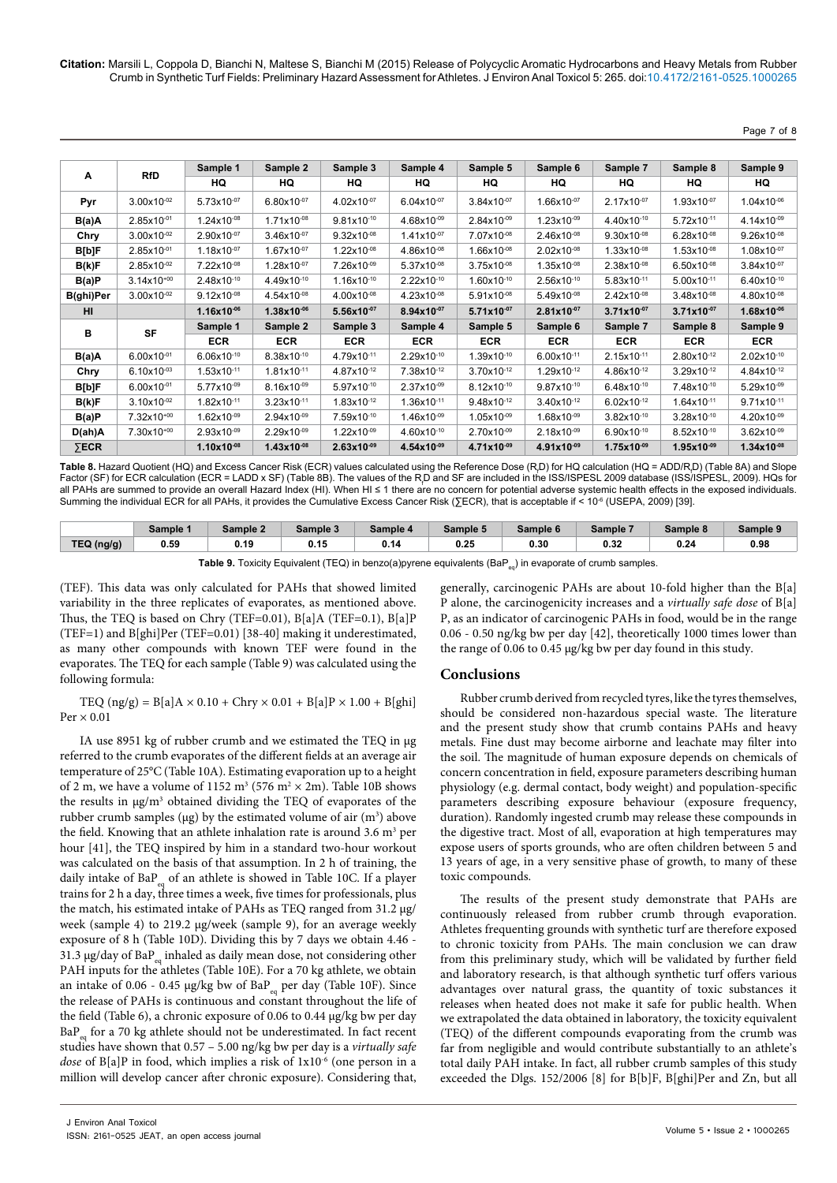Page 7 of 8

|              |                        | Sample 1        | Sample 2               | Sample 3               | Sample 4        | Sample 5        | Sample 6        | Sample 7               | Sample 8        | Sample 9        |
|--------------|------------------------|-----------------|------------------------|------------------------|-----------------|-----------------|-----------------|------------------------|-----------------|-----------------|
| Α            | <b>RfD</b>             | HQ              | HQ                     | HQ                     | HQ              | HQ              | HQ              | HQ                     | HQ              | HQ              |
| Pyr          | $3.00x10^{-02}$        | 5.73x10-07      | $6.80x10^{-07}$        | 4.02x10-07             | $6.04x10^{-07}$ | $3.84x10^{-07}$ | 1.66x10-07      | $2.17x10^{-07}$        | 1.93x10-07      | 1.04x10-06      |
| B(a)A        | 2.85x10-01             | 1.24x10-08      | 1.71x10-08             | 9.81x10-10             | 4.68x10-09      | 2.84x10-09      | $1.23x10^{-09}$ | 4.40x10-10             | 5.72x10-11      | 4.14x10-09      |
| Chry         | $3.00x10^{-02}$        | 2.90x10-07      | $3.46x10^{-07}$        | $9.32 \times 10^{-08}$ | $1.41x10^{-07}$ | 7.07x10-08      | $2.46x10^{-08}$ | $9.30x10^{-08}$        | $6.28x10^{-08}$ | $9.26x10^{-08}$ |
| B[b]F        | $2.85x10^{-01}$        | $1.18x10^{-07}$ | $1.67x10^{-07}$        | $1.22 \times 10^{-08}$ | $4.86x10^{-08}$ | $1.66x10^{-08}$ | $2.02x10^{-08}$ | $1.33x10^{-08}$        | $1.53x10^{-08}$ | $1.08x10^{-07}$ |
| B(k)F        | $2.85x10^{-02}$        | 7.22x10-08      | 1.28x10-07             | 7.26x10-09             | 5.37x10-08      | $3.75x10^{-08}$ | 1.35x10-08      | $2.38x10^{-08}$        | $6.50x10^{-08}$ | $3.84x10^{-07}$ |
| B(a)P        | $3.14x10^{+00}$        | 2.48x10-10      | 4.49x10-10             | $1.16x10^{-10}$        | 2.22x10-10      | 1.60x10-10      | 2.56x10-10      | 5.83x10-11             | 5.00x10-11      | 6.40x10-10      |
| B(ghi)Per    | $3.00x10^{-02}$        | $9.12x10^{-08}$ | 4.54x10-08             | $4.00x10^{-08}$        | 4.23x10-08      | 5.91x10-08      | $5.49x10^{-08}$ | $2.42x10^{-08}$        | $3.48x10^{-08}$ | 4.80x10-08      |
| HI           |                        | $1.16x10^{-06}$ | $1.38x10^{-06}$        | $5.56x10^{-07}$        | $8.94x10^{-07}$ | $5.71x10^{-07}$ | $2.81x10^{-07}$ | $3.71x10^{-07}$        | $3.71x10^{-07}$ | $1.68x10^{-06}$ |
| в            | <b>SF</b>              | Sample 1        | Sample 2               | Sample 3               | Sample 4        | Sample 5        | Sample 6        | Sample 7               | Sample 8        | Sample 9        |
|              |                        | <b>ECR</b>      | <b>ECR</b>             | <b>ECR</b>             | <b>ECR</b>      | <b>ECR</b>      | <b>ECR</b>      | <b>ECR</b>             | <b>ECR</b>      | <b>ECR</b>      |
| B(a)A        | $6.00x10^{-01}$        | $6.06x10^{-10}$ | 8.38x10-10             | 4.79x10-11             | 2.29x10-10      | 1.39x10-10      | $6.00x10^{-11}$ | $2.15x10^{-11}$        | 2.80x10-12      | 2.02x10-10      |
| Chry         | $6.10x10^{-03}$        | 1.53x10-11      | 1.81x10-11             | 4.87x10-12             | 7.38x10-12      | $3.70x10^{-12}$ | 1.29x10-12      | 4.86x10-12             | 3.29x10-12      | 4.84x10-12      |
| <b>B[b]F</b> | $6.00x10^{-01}$        | 5.77x10-09      | $8.16x10^{-09}$        | 5.97x10-10             | 2.37x10-09      | 8.12x10-10      | 9.87x10-10      | 6.48x10-10             | 7.48x10-10      | 5.29x10-09      |
| B(k)F        | $3.10x10^{-02}$        | 1.82x10-11      | $3.23 \times 10^{-11}$ | $1.83 \times 10^{-12}$ | 1.36x10-11      | 9.48x10-12      | $3.40x10^{-12}$ | $6.02x10^{-12}$        | 1.64x10-11      | 9.71x10-11      |
| B(a)P        | 7.32x10 <sup>+00</sup> | $1.62x10^{-09}$ | $2.94x10^{-09}$        | 7.59x10-10             | $1.46x10^{-09}$ | $1.05x10^{-09}$ | $1.68x10^{-09}$ | $3.82 \times 10^{-10}$ | $3.28x10^{-10}$ | $4.20x10^{-09}$ |
| D(ah)A       | 7.30x10 <sup>+00</sup> | $2.93x10^{-09}$ | 2.29x10-09             | $1.22 \times 10^{-09}$ | 4.60x10-10      | $2.70x10^{-09}$ | $2.18x10^{-09}$ | $6.90x10^{-10}$        | 8.52x10-10      | $3.62x10^{-09}$ |
| $\Sigma$ ECR |                        | $1.10x10^{-08}$ | $1.43x10^{-08}$        | $2.63x10^{-09}$        | $4.54x10^{-09}$ | $4.71x10^{-09}$ | 4.91x10-09      | $1.75x10^{-09}$        | $1.95x10^{-09}$ | $1.34x10^{-08}$ |

**Table 8.** Hazard Quotient (HQ) and Excess Cancer Risk (ECR) values calculated using the Reference Dose (R<sub>,</sub>D) for HQ calculation (HQ = ADD/R<sub>,</sub>D) (Table 8A) and Slope Factor (SF) for ECR calculation (ECR = LADD x SF) (Table 8B). The values of the R<sub>-</sub>D and SF are included in the ISS/ISPESL 2009 database (ISS/ISPESL, 2009). HQs for all PAHs are summed to provide an overall Hazard Index (HI). When HI ≤ 1 there are no concern for potential adverse systemic health effects in the exposed individuals. Summing the individual ECR for all PAHs, it provides the Cumulative Excess Cancer Risk (∑ECR), that is acceptable if < 10-6 (USEPA, 2009) [39].

|            | Sample 1 | Sample 2 | Sample 3 | Sample 4 | Sample 5     | Sample 6 | Sample <sup>-</sup> | Sample 8 | Sample 9 |
|------------|----------|----------|----------|----------|--------------|----------|---------------------|----------|----------|
| TEQ (ng/g) | 0.59     | 0.19     | v. I v   | u. Ir    | ስ ጎድ<br>u.zu | 0.30     | 0.32                | 0.24     | 0.98     |
|            |          |          |          |          |              |          |                     |          |          |

Table 9. Toxicity Equivalent (TEQ) in benzo(a)pyrene equivalents (BaP<sub>eq</sub>) in evaporate of crumb samples.

(TEF). This data was only calculated for PAHs that showed limited variability in the three replicates of evaporates, as mentioned above. Thus, the TEQ is based on Chry (TEF=0.01), B[a]A (TEF=0.1), B[a]P (TEF=1) and B[ghi]Per (TEF=0.01) [38-40] making it underestimated, as many other compounds with known TEF were found in the evaporates. The TEQ for each sample (Table 9) was calculated using the following formula:

TEQ  $(ng/g) = B[a]A \times 0.10 + Chry \times 0.01 + B[a]P \times 1.00 + B[ghi]$  $Per \times 0.01$ 

IA use 8951 kg of rubber crumb and we estimated the TEQ in μg referred to the crumb evaporates of the different fields at an average air temperature of 25°C (Table 10A). Estimating evaporation up to a height of 2 m, we have a volume of 1152  $\text{m}^3$  (576  $\text{m}^2 \times 2\text{m}$ ). Table 10B shows the results in  $\mu$ g/m<sup>3</sup> obtained dividing the TEQ of evaporates of the rubber crumb samples ( $\mu$ g) by the estimated volume of air  $(m^3)$  above the field. Knowing that an athlete inhalation rate is around 3.6  $m<sup>3</sup>$  per hour [41], the TEQ inspired by him in a standard two-hour workout was calculated on the basis of that assumption. In 2 h of training, the daily intake of  $BaP_{eq}$  of an athlete is showed in Table 10C. If a player trains for 2 h a day, three times a week, five times for professionals, plus the match, his estimated intake of PAHs as TEQ ranged from 31.2 μg/ week (sample 4) to 219.2 μg/week (sample 9), for an average weekly exposure of 8 h (Table 10D). Dividing this by 7 days we obtain 4.46 - 31.3 μg/day of BaP $_{eq}$  inhaled as daily mean dose, not considering other PAH inputs for the athletes (Table 10E). For a 70 kg athlete, we obtain an intake of 0.06 - 0.45  $\mu$ g/kg bw of BaP<sub>eq</sub> per day (Table 10F). Since the release of PAHs is continuous and constant throughout the life of the field (Table 6), a chronic exposure of 0.06 to 0.44 μg/kg bw per day  $BaP_{eq}$  for a 70 kg athlete should not be underestimated. In fact recent studies have shown that 0.57 – 5.00 ng/kg bw per day is a *virtually safe dose* of B[a]P in food, which implies a risk of 1x10-6 (one person in a million will develop cancer after chronic exposure). Considering that,

generally, carcinogenic PAHs are about 10-fold higher than the B[a] P alone, the carcinogenicity increases and a *virtually safe dose* of B[a] P, as an indicator of carcinogenic PAHs in food, would be in the range 0.06 - 0.50 ng/kg bw per day [42], theoretically 1000 times lower than the range of 0.06 to 0.45 μg/kg bw per day found in this study.

# **Conclusions**

Rubber crumb derived from recycled tyres, like the tyres themselves, should be considered non-hazardous special waste. The literature and the present study show that crumb contains PAHs and heavy metals. Fine dust may become airborne and leachate may filter into the soil. The magnitude of human exposure depends on chemicals of concern concentration in field, exposure parameters describing human physiology (e.g. dermal contact, body weight) and population-specific parameters describing exposure behaviour (exposure frequency, duration). Randomly ingested crumb may release these compounds in the digestive tract. Most of all, evaporation at high temperatures may expose users of sports grounds, who are often children between 5 and 13 years of age, in a very sensitive phase of growth, to many of these toxic compounds.

The results of the present study demonstrate that PAHs are continuously released from rubber crumb through evaporation. Athletes frequenting grounds with synthetic turf are therefore exposed to chronic toxicity from PAHs. The main conclusion we can draw from this preliminary study, which will be validated by further field and laboratory research, is that although synthetic turf offers various advantages over natural grass, the quantity of toxic substances it releases when heated does not make it safe for public health. When we extrapolated the data obtained in laboratory, the toxicity equivalent (TEQ) of the different compounds evaporating from the crumb was far from negligible and would contribute substantially to an athlete's total daily PAH intake. In fact, all rubber crumb samples of this study exceeded the Dlgs. 152/2006 [8] for B[b]F, B[ghi]Per and Zn, but all